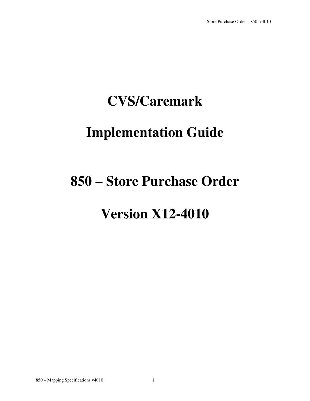# **CVS/Caremark**

# **Implementation Guide**

# **850 – Store Purchase Order**

# **Version X12-4010**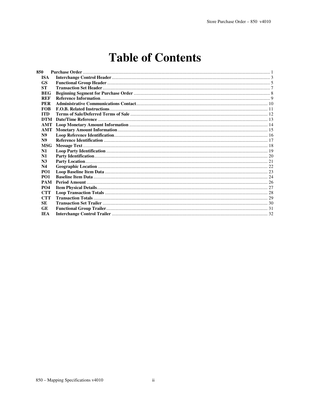# **Table of Contents**

| 850             |  |
|-----------------|--|
| <b>ISA</b>      |  |
| <b>GS</b>       |  |
| <b>ST</b>       |  |
| <b>BEG</b>      |  |
| <b>REF</b>      |  |
| <b>PER</b>      |  |
| <b>FOB</b>      |  |
| <b>ITD</b>      |  |
| DTM             |  |
|                 |  |
| <b>AMT</b>      |  |
| N <sub>9</sub>  |  |
| N <sub>9</sub>  |  |
| <b>MSG</b>      |  |
| N1              |  |
| N1              |  |
| N <sub>3</sub>  |  |
| N4              |  |
| PO <sub>1</sub> |  |
| PO <sub>1</sub> |  |
| <b>PAM</b>      |  |
| <b>PO4</b>      |  |
| <b>CTT</b>      |  |
| <b>CTT</b>      |  |
| <b>SE</b>       |  |
| GE              |  |
| <b>IEA</b>      |  |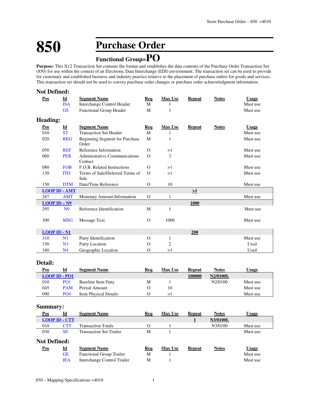# **850 Purchase Order**

# **Functional Group=PO**

**Purpose:** This X12 Transaction Set contains the format and establishes the data contents of the Purchase Order Transaction Set (850) for use within the context of an Electronic Data Interchange (EDI) environment. The transaction set can be used to provide for customary and established business and industry practice relative to the placement of purchase orders for goods and services. This transaction set should not be used to convey purchase order changes or purchase order acknowledgment information.

| <b>Not Defined:</b>     |                           |                                          |          |                |               |              |              |
|-------------------------|---------------------------|------------------------------------------|----------|----------------|---------------|--------------|--------------|
| Pos                     | $\underline{\mathbf{Id}}$ | <b>Segment Name</b>                      | Req      | <b>Max Use</b> | <b>Repeat</b> | <b>Notes</b> | <b>Usage</b> |
|                         | <b>ISA</b>                | Interchange Control Header               | M        |                |               |              | Must use     |
|                         | <b>GS</b>                 | <b>Functional Group Header</b>           | M        | 1              |               |              | Must use     |
| <b>Heading:</b>         |                           |                                          |          |                |               |              |              |
| <b>Pos</b>              | $\underline{\mathbf{Id}}$ | <b>Segment Name</b>                      | Req      | <b>Max Use</b> | <b>Repeat</b> | <b>Notes</b> | <b>Usage</b> |
| 010                     | <b>ST</b>                 | <b>Transaction Set Header</b>            | M        |                |               |              | Must use     |
| 020                     | <b>BEG</b>                | Beginning Segment for Purchase<br>Order  | M        | 1              |               |              | Must use     |
| 050                     | <b>REF</b>                | Reference Information                    | $\Omega$ | >1             |               |              | Must use     |
| 060                     | <b>PER</b>                | Administrative Communications<br>Contact | $\Omega$ | 3              |               |              | Must use     |
| 080                     | <b>FOB</b>                | F.O.B. Related Instructions              | $\Omega$ | >1             |               |              | Must use     |
| 130                     | <b>ITD</b>                | Terms of Sale/Deferred Terms of<br>Sale  | $\Omega$ | >1             |               |              | Must use     |
| 150                     | <b>DTM</b>                | Date/Time Reference                      | $\Omega$ | 10             |               |              | Must use     |
| <b>LOOP ID - AMT</b>    |                           |                                          |          |                | >1            |              |              |
| 287                     | <b>AMT</b>                | Monetary Amount Information              | $\Omega$ | 1              |               |              | Must use     |
| $LOOP$ ID $-N9$         |                           |                                          |          |                | 1000          |              |              |
| 295                     | N <sub>9</sub>            | Reference Identification                 | M        | 1              |               |              | Must use     |
| 300                     | <b>MSG</b>                | <b>Message Text</b>                      | $\Omega$ | 1000           |               |              | Must use     |
| $LOOP$ ID $\text{-}$ N1 |                           |                                          |          |                | 200           |              |              |
| 310                     | N1                        | Party Identification                     | $\Omega$ | 1              |               |              | Must use     |
| 330                     | N <sub>3</sub>            | Party Location                           | O        | 2              |               |              | Used         |
| 340                     | N <sub>4</sub>            | Geographic Location                      | $\Omega$ | >1             |               |              | Used         |

## **Detail:**

| Pos | Id                | <b>Segment Name</b>   | Req | <b>Max Use</b> | Repeat | Notes    | Usage    |
|-----|-------------------|-----------------------|-----|----------------|--------|----------|----------|
|     | $LOOP$ ID $-$ PO1 |                       |     |                | 100000 | N2/0100L |          |
| 010 | PO <sub>1</sub>   | Baseline Item Data    | М   |                |        | N2/0100  | Must use |
| 045 | <b>PAM</b>        | Period Amount         |     | 10             |        |          | Must use |
| 090 | PO4               | Item Physical Details |     |                |        |          | Must use |

## **Summary:**

| Id                  | <b>Segment Name</b>             | Req                  | <b>Max Use</b> | Repeat        | <b>Notes</b> | <b>Usage</b> |
|---------------------|---------------------------------|----------------------|----------------|---------------|--------------|--------------|
|                     |                                 |                      |                |               | N3/0100L     |              |
| <b>CTT</b>          | <b>Transaction Totals</b>       | Ω                    |                |               | N3/0100      | Must use     |
| <b>SE</b>           | <b>Transaction Set Trailer</b>  | M                    |                |               |              | Must use     |
| <b>Not Defined:</b> |                                 |                      |                |               |              |              |
| <u>Id</u>           | <b>Segment Name</b>             | Req                  | <b>Max Use</b> | <b>Repeat</b> | <b>Notes</b> | <u>Usage</u> |
| <b>GE</b>           | <b>Functional Group Trailer</b> | M                    |                |               |              | Must use     |
| <b>IEA</b>          | Interchange Control Trailer     | М                    |                |               |              | Must use     |
|                     |                                 | <b>LOOP ID - CTT</b> |                |               |              |              |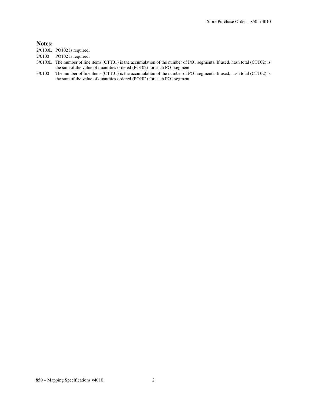#### **Notes:**

- 2/0100L PO102 is required.
- 2/0100 PO102 is required.
- 3/0100L The number of line items (CTT01) is the accumulation of the number of PO1 segments. If used, hash total (CTT02) is the sum of the value of quantities ordered (PO102) for each PO1 segment.
- 3/0100 The number of line items (CTT01) is the accumulation of the number of PO1 segments. If used, hash total (CTT02) is the sum of the value of quantities ordered (PO102) for each PO1 segment.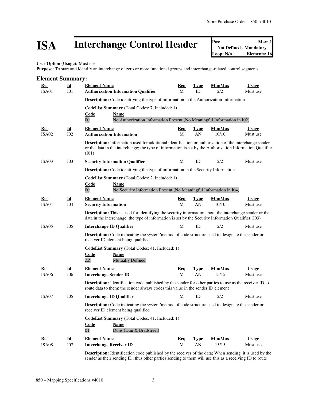# **ISA** Interchange Control Header **Posi** Not Defined - Mandatory Max: 1

**User Option (Usage):** Must use

**Purpose:** To start and identify an interchange of zero or more functional groups and interchange-related control segments

| <b>Element Summary:</b>         |                                              |                                                                                                                                                                                                                                     |                 |                   |                  |                          |
|---------------------------------|----------------------------------------------|-------------------------------------------------------------------------------------------------------------------------------------------------------------------------------------------------------------------------------------|-----------------|-------------------|------------------|--------------------------|
| <b>Ref</b><br><b>ISA01</b>      | $\underline{\mathbf{Id}}$<br>I <sub>01</sub> | <b>Element Name</b><br><b>Authorization Information Qualifier</b>                                                                                                                                                                   | <u>Req</u><br>M | <b>Type</b><br>ID | Min/Max<br>2/2   | <b>Usage</b><br>Must use |
|                                 |                                              | Description: Code identifying the type of information in the Authorization Information                                                                                                                                              |                 |                   |                  |                          |
|                                 |                                              | CodeList Summary (Total Codes: 7, Included: 1)<br>Code<br><b>Name</b><br>$\overline{00}$<br>No Authorization Information Present (No Meaningful Information in I02)                                                                 |                 |                   |                  |                          |
| <u>Ref</u><br>ISA <sub>02</sub> | $\underline{\mathbf{Id}}$<br>I <sub>02</sub> | <b>Element Name</b><br><b>Authorization Information</b>                                                                                                                                                                             | <u>Req</u><br>M | <b>Type</b><br>AN | Min/Max<br>10/10 | Usage<br>Must use        |
|                                 |                                              | <b>Description:</b> Information used for additional identification or authorization of the interchange sender<br>or the data in the interchange; the type of information is set by the Authorization Information Qualifier<br>(IO1) |                 |                   |                  |                          |
| ISA <sub>03</sub>               | I <sub>03</sub>                              | <b>Security Information Qualifier</b>                                                                                                                                                                                               | М               | ID                | 2/2              | Must use                 |
|                                 |                                              | Description: Code identifying the type of information in the Security Information                                                                                                                                                   |                 |                   |                  |                          |
|                                 |                                              | CodeList Summary (Total Codes: 2, Included: 1)<br>Code<br>Name<br>$00\,$<br>No Security Information Present (No Meaningful Information in I04)                                                                                      |                 |                   |                  |                          |
| Ref<br>ISA04                    | Id<br><b>I04</b>                             | <b>Element Name</b><br><b>Security Information</b>                                                                                                                                                                                  | <u>Req</u><br>M | <u>Type</u><br>AN | Min/Max<br>10/10 | <b>Usage</b><br>Must use |
|                                 |                                              | <b>Description:</b> This is used for identifying the security information about the interchange sender or the<br>data in the interchange; the type of information is set by the Security Information Qualifier (I03)                |                 |                   |                  |                          |
| ISA <sub>05</sub>               | I05                                          | <b>Interchange ID Qualifier</b>                                                                                                                                                                                                     | М               | ID                | 2/2              | Must use                 |
|                                 |                                              | <b>Description:</b> Code indicating the system/method of code structure used to designate the sender or<br>receiver ID element being qualified                                                                                      |                 |                   |                  |                          |
|                                 |                                              | CodeList Summary (Total Codes: 41, Included: 1)<br><b>Code</b><br>Name<br><b>Mutually Defined</b><br>ZZ                                                                                                                             |                 |                   |                  |                          |
| Ref                             | $\underline{\mathbf{Id}}$                    | <b>Element Name</b>                                                                                                                                                                                                                 | <u>Req</u>      | <u>Type</u>       | Min/Max          | <b>Usage</b>             |
| ISA <sub>06</sub>               | <b>I06</b>                                   | <b>Interchange Sender ID</b>                                                                                                                                                                                                        | M               | AN                | 15/15            | Must use                 |
|                                 |                                              | <b>Description:</b> Identification code published by the sender for other parties to use as the receiver ID to<br>route data to them; the sender always codes this value in the sender ID element                                   |                 |                   |                  |                          |
| ISA07                           | I05                                          | <b>Interchange ID Qualifier</b>                                                                                                                                                                                                     | М               | ID                | 2/2              | Must use                 |
|                                 |                                              | Description: Code indicating the system/method of code structure used to designate the sender or<br>receiver ID element being qualified                                                                                             |                 |                   |                  |                          |
|                                 |                                              | CodeList Summary (Total Codes: 41, Included: 1)<br><b>Code</b><br>Name<br>01<br>Duns (Dun & Bradstreet)                                                                                                                             |                 |                   |                  |                          |
| <b>Ref</b>                      | $\underline{\mathbf{Id}}$                    | <b>Element Name</b>                                                                                                                                                                                                                 | <u>Req</u>      | <b>Type</b>       | Min/Max          | <b>Usage</b>             |
| ISA08                           | <b>I07</b>                                   | <b>Interchange Receiver ID</b>                                                                                                                                                                                                      | M               | AN                | 15/15            | Must use                 |
|                                 |                                              | December 2000 - Titulat Country                                                                                                                                                                                                     |                 |                   | TTL              |                          |

**Description:** Identification code published by the receiver of the data; When sending, it is used by the sender as their sending ID, thus other parties sending to them will use this as a receiving ID to route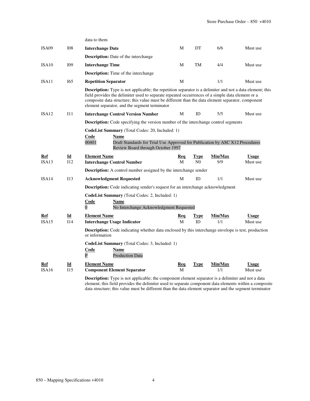|                   |            | data to them                                                                                                                                                                                                                                                                                                                                                               |            |                |         |              |
|-------------------|------------|----------------------------------------------------------------------------------------------------------------------------------------------------------------------------------------------------------------------------------------------------------------------------------------------------------------------------------------------------------------------------|------------|----------------|---------|--------------|
| ISA <sub>09</sub> | <b>I08</b> | <b>Interchange Date</b>                                                                                                                                                                                                                                                                                                                                                    | М          | DT             | 6/6     | Must use     |
|                   |            | <b>Description:</b> Date of the interchange                                                                                                                                                                                                                                                                                                                                |            |                |         |              |
| ISA10             | I09        | <b>Interchange Time</b>                                                                                                                                                                                                                                                                                                                                                    | М          | TM             | 4/4     | Must use     |
|                   |            | <b>Description:</b> Time of the interchange                                                                                                                                                                                                                                                                                                                                |            |                |         |              |
| ISA11             | I65        | <b>Repetition Separator</b>                                                                                                                                                                                                                                                                                                                                                | М          |                | 1/1     | Must use     |
|                   |            | <b>Description:</b> Type is not applicable; the repetition separator is a delimiter and not a data element; this<br>field provides the delimiter used to separate repeated occurrences of a simple data element or a<br>composite data structure; this value must be different than the data element separator, component<br>element separator, and the segment terminator |            |                |         |              |
| ISA12             | 111        | <b>Interchange Control Version Number</b>                                                                                                                                                                                                                                                                                                                                  | М          | ID             | 5/5     | Must use     |
|                   |            | Description: Code specifying the version number of the interchange control segments                                                                                                                                                                                                                                                                                        |            |                |         |              |
|                   |            | CodeList Summary (Total Codes: 20, Included: 1)<br>Code<br><b>Name</b><br>00401<br>Draft Standards for Trial Use Approved for Publication by ASC X12 Procedures<br>Review Board through October 1997                                                                                                                                                                       |            |                |         |              |
| Ref               | Id         | <b>Element Name</b>                                                                                                                                                                                                                                                                                                                                                        | Req        | Type           | Min/Max | <b>Usage</b> |
| ISA13             | 112        | <b>Interchange Control Number</b>                                                                                                                                                                                                                                                                                                                                          | M          | N <sub>0</sub> | 9/9     | Must use     |
|                   |            | <b>Description:</b> A control number assigned by the interchange sender                                                                                                                                                                                                                                                                                                    |            |                |         |              |
| ISA14             | 113        | <b>Acknowledgment Requested</b>                                                                                                                                                                                                                                                                                                                                            | M          | ID             | 1/1     | Must use     |
|                   |            | Description: Code indicating sender's request for an interchange acknowledgment                                                                                                                                                                                                                                                                                            |            |                |         |              |
|                   |            | <b>CodeList Summary</b> (Total Codes: 2, Included: 1)<br><b>Code</b><br><b>Name</b><br>$\overline{0}$<br>No Interchange Acknowledgment Requested                                                                                                                                                                                                                           |            |                |         |              |
| Ref               | Id         | <b>Element Name</b>                                                                                                                                                                                                                                                                                                                                                        | Req        | <b>Type</b>    | Min/Max | <b>Usage</b> |
| ISA15             | I14        | <b>Interchange Usage Indicator</b>                                                                                                                                                                                                                                                                                                                                         | M          | ID             | 1/1     | Must use     |
|                   |            | <b>Description:</b> Code indicating whether data enclosed by this interchange envelope is test, production<br>or information                                                                                                                                                                                                                                               |            |                |         |              |
|                   |            | <b>CodeList Summary</b> (Total Codes: 3, Included: 1)<br>Code<br>Name<br>$\overline{P}$<br><b>Production Data</b>                                                                                                                                                                                                                                                          |            |                |         |              |
| Ref               | Id         | <b>Element Name</b>                                                                                                                                                                                                                                                                                                                                                        | <u>Req</u> | <b>Type</b>    | Min/Max | <b>Usage</b> |
| ISA <sub>16</sub> | 115        | <b>Component Element Separator</b>                                                                                                                                                                                                                                                                                                                                         | M          |                | 1/1     | Must use     |
|                   |            | <b>Description:</b> Type is not applicable; the component element separator is a delimiter and not a data                                                                                                                                                                                                                                                                  |            |                |         |              |

element; this field provides the delimiter used to separate component data elements within a composite data structure; this value must be different than the data element separator and the segment terminator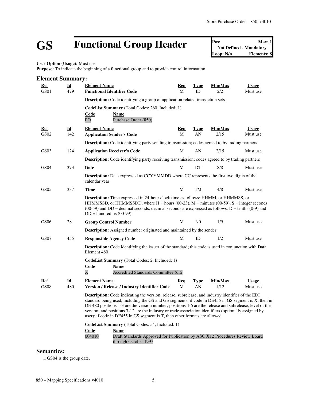# **GS Functional Group Header Pos:** Max: 1<br>Not Defined - Mandatory<br>Loop: N/A<br>Elements: 8

**Not Defined - Mandatory Elements: 8** 

**User Option (Usage):** Must use

**Purpose:** To indicate the beginning of a functional group and to provide control information

| <b>Element Summary:</b> |                                                                                                                                                                                                                                                                                                                                                                                                                                                                                                                   |                                                                                                                                                                                                                                                                                                                        |                 |                   |                 |                          |
|-------------------------|-------------------------------------------------------------------------------------------------------------------------------------------------------------------------------------------------------------------------------------------------------------------------------------------------------------------------------------------------------------------------------------------------------------------------------------------------------------------------------------------------------------------|------------------------------------------------------------------------------------------------------------------------------------------------------------------------------------------------------------------------------------------------------------------------------------------------------------------------|-----------------|-------------------|-----------------|--------------------------|
| <b>Ref</b><br>GS01      | $\underline{\mathbf{Id}}$<br>479                                                                                                                                                                                                                                                                                                                                                                                                                                                                                  | <b>Element Name</b><br><b>Functional Identifier Code</b>                                                                                                                                                                                                                                                               | <u>Req</u><br>M | <b>Type</b><br>ID | Min/Max<br>2/2  | <b>Usage</b><br>Must use |
|                         |                                                                                                                                                                                                                                                                                                                                                                                                                                                                                                                   | <b>Description:</b> Code identifying a group of application related transaction sets                                                                                                                                                                                                                                   |                 |                   |                 |                          |
|                         |                                                                                                                                                                                                                                                                                                                                                                                                                                                                                                                   | CodeList Summary (Total Codes: 260, Included: 1)<br><b>Code</b><br>Name<br>PO<br>Purchase Order (850)                                                                                                                                                                                                                  |                 |                   |                 |                          |
| <u>Ref</u><br>GS02      | $\underline{\mathbf{Id}}$<br>142                                                                                                                                                                                                                                                                                                                                                                                                                                                                                  | <b>Element Name</b><br><b>Application Sender's Code</b>                                                                                                                                                                                                                                                                | <b>Req</b><br>M | <b>Type</b><br>AN | Min/Max<br>2/15 | <b>Usage</b><br>Must use |
|                         |                                                                                                                                                                                                                                                                                                                                                                                                                                                                                                                   | <b>Description:</b> Code identifying party sending transmission; codes agreed to by trading partners                                                                                                                                                                                                                   |                 |                   |                 |                          |
| GS03                    | 124                                                                                                                                                                                                                                                                                                                                                                                                                                                                                                               | <b>Application Receiver's Code</b>                                                                                                                                                                                                                                                                                     | M               | AN                | 2/15            | Must use                 |
|                         |                                                                                                                                                                                                                                                                                                                                                                                                                                                                                                                   | <b>Description:</b> Code identifying party receiving transmission; codes agreed to by trading partners                                                                                                                                                                                                                 |                 |                   |                 |                          |
| GS <sub>04</sub>        | 373                                                                                                                                                                                                                                                                                                                                                                                                                                                                                                               | Date                                                                                                                                                                                                                                                                                                                   | M               | DT                | 8/8             | Must use                 |
|                         |                                                                                                                                                                                                                                                                                                                                                                                                                                                                                                                   | <b>Description:</b> Date expressed as CCYYMMDD where CC represents the first two digits of the<br>calendar year                                                                                                                                                                                                        |                 |                   |                 |                          |
| GS <sub>05</sub>        | 337                                                                                                                                                                                                                                                                                                                                                                                                                                                                                                               | <b>Time</b>                                                                                                                                                                                                                                                                                                            | М               | TM                | 4/8             | Must use                 |
|                         |                                                                                                                                                                                                                                                                                                                                                                                                                                                                                                                   | <b>Description:</b> Time expressed in 24-hour clock time as follows: HHMM, or HHMMSS, or<br>HHMMSSD, or HHMMSSDD, where H = hours (00-23), M = minutes (00-59), S = integer seconds<br>$(00-59)$ and DD = decimal seconds; decimal seconds are expressed as follows: D = tenths (0-9) and<br>$DD =$ hundredths (00-99) |                 |                   |                 |                          |
| GS06                    | 28                                                                                                                                                                                                                                                                                                                                                                                                                                                                                                                | <b>Group Control Number</b>                                                                                                                                                                                                                                                                                            | M               | N <sub>0</sub>    | 1/9             | Must use                 |
|                         |                                                                                                                                                                                                                                                                                                                                                                                                                                                                                                                   | <b>Description:</b> Assigned number originated and maintained by the sender                                                                                                                                                                                                                                            |                 |                   |                 |                          |
| GS07                    | 455                                                                                                                                                                                                                                                                                                                                                                                                                                                                                                               | <b>Responsible Agency Code</b>                                                                                                                                                                                                                                                                                         | М               | ID                | 1/2             | Must use                 |
|                         |                                                                                                                                                                                                                                                                                                                                                                                                                                                                                                                   | <b>Description:</b> Code identifying the issuer of the standard; this code is used in conjunction with Data<br>Element 480                                                                                                                                                                                             |                 |                   |                 |                          |
|                         |                                                                                                                                                                                                                                                                                                                                                                                                                                                                                                                   | CodeList Summary (Total Codes: 2, Included: 1)<br><b>Code</b><br>Name<br>$\overline{\text{X}}$<br>Accredited Standards Committee X12                                                                                                                                                                                   |                 |                   |                 |                          |
| Ref<br><b>GS08</b>      | Id<br>480                                                                                                                                                                                                                                                                                                                                                                                                                                                                                                         | <b>Element Name</b><br><b>Version / Release / Industry Identifier Code</b>                                                                                                                                                                                                                                             | Req<br>M        | <b>Type</b><br>AN | Min/Max<br>1/12 | <b>Usage</b><br>Must use |
|                         | <b>Description:</b> Code indicating the version, release, subrelease, and industry identifier of the EDI<br>standard being used, including the GS and GE segments; if code in DE455 in GS segment is X, then in<br>DE 480 positions 1-3 are the version number; positions 4-6 are the release and subrelease, level of the<br>version; and positions 7-12 are the industry or trade association identifiers (optionally assigned by<br>user); if code in DE455 in GS segment is T, then other formats are allowed |                                                                                                                                                                                                                                                                                                                        |                 |                   |                 |                          |
|                         |                                                                                                                                                                                                                                                                                                                                                                                                                                                                                                                   | CodeList Summary (Total Codes: 54, Included: 1)<br>Code<br><b>Name</b><br>004010<br>Draft Standards Approved for Publication by ASC X12 Procedures Review Board<br>through October 1997                                                                                                                                |                 |                   |                 |                          |

## **Semantics:**

1. GS04 is the group date.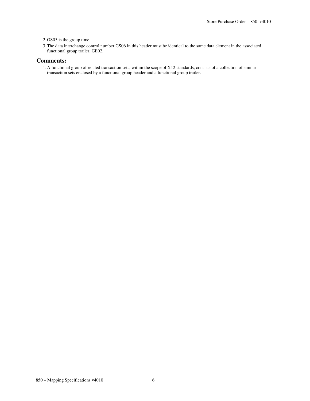2. GS05 is the group time.

3.The data interchange control number GS06 in this header must be identical to the same data element in the associated functional group trailer, GE02.

#### **Comments:**

1. A functional group of related transaction sets, within the scope of X12 standards, consists of a collection of similar transaction sets enclosed by a functional group header and a functional group trailer.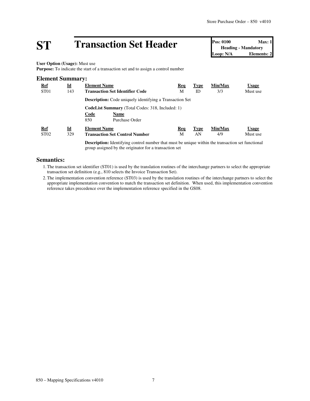# **ST Transaction Set Header Pos:** 0100 **Max:** 1<br> **Pos:** 0100 **Max:** 1<br> **Loop:** N/A **Elements:** 2

**Heading - Mandatory Loop: N/A** 

**User Option (Usage):** Must use

**Purpose:** To indicate the start of a transaction set and to assign a control number

# **Element Summary: Ref Id Element Name Req Type Min/Max Usage** ST01 143 **Transaction Set Identifier Code** M ID 3/3 Must use **Description:** Code uniquely identifying a Transaction Set **CodeList Summary** (Total Codes: 318, Included: 1) **Code Name** 850 Purchase Order **Ref Id Element Name Req Type Min/Max Usage** ST02 329 **Transaction Set Control Number** M AN 4/9 Must use

**Description:** Identifying control number that must be unique within the transaction set functional group assigned by the originator for a transaction set

## **Semantics:**

- 1.The transaction set identifier (ST01) is used by the translation routines of the interchange partners to select the appropriate transaction set definition (e.g., 810 selects the Invoice Transaction Set).
- 2.The implementation convention reference (ST03) is used by the translation routines of the interchange partners to select the appropriate implementation convention to match the transaction set definition. When used, this implementation convention reference takes precedence over the implementation reference specified in the GS08.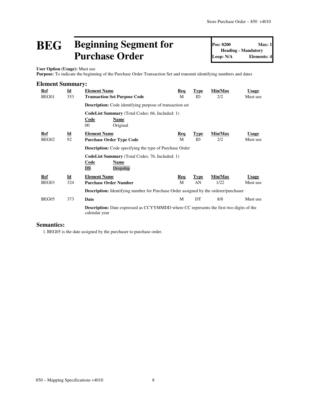# **BEG Beginning Segment for Purchase Order**

**Pos: 0200 Max: 1 Heading - Mandatory Loop: N/A Elements: 4**

**User Option (Usage):** Must use

**Purpose:** To indicate the beginning of the Purchase Order Transaction Set and transmit identifying numbers and dates

| <b>Element Summary:</b> |                                  |                                                                                                                 |                 |                   |                |                          |  |  |  |
|-------------------------|----------------------------------|-----------------------------------------------------------------------------------------------------------------|-----------------|-------------------|----------------|--------------------------|--|--|--|
| <u>Ref</u><br>BEG01     | $\underline{\mathbf{Id}}$<br>353 | <b>Element Name</b><br><b>Transaction Set Purpose Code</b>                                                      | <b>Req</b><br>M | <b>Type</b><br>ID | Min/Max<br>2/2 | <b>Usage</b><br>Must use |  |  |  |
|                         |                                  | <b>Description:</b> Code identifying purpose of transaction set                                                 |                 |                   |                |                          |  |  |  |
|                         |                                  | <b>CodeList Summary</b> (Total Codes: 66, Included: 1)<br>Code<br>Name<br>$00\,$<br>Original                    |                 |                   |                |                          |  |  |  |
| Ref                     | $\underline{\mathbf{Id}}$        | <b>Element Name</b>                                                                                             | <b>Req</b>      | <b>Type</b>       | Min/Max        | <b>Usage</b>             |  |  |  |
| BEG02                   | 92                               | <b>Purchase Order Type Code</b>                                                                                 | M               | ID                | 2/2            | Must use                 |  |  |  |
|                         |                                  | <b>Description:</b> Code specifying the type of Purchase Order                                                  |                 |                   |                |                          |  |  |  |
|                         |                                  | <b>CodeList Summary</b> (Total Codes: 76, Included: 1)<br><b>Code</b><br><b>Name</b><br>DS<br>Dropship          |                 |                   |                |                          |  |  |  |
| Ref                     | $\underline{\mathbf{Id}}$        | <b>Element Name</b>                                                                                             | <b>Req</b>      | <b>Type</b>       | Min/Max        | <b>Usage</b>             |  |  |  |
| BEG03                   | 324                              | <b>Purchase Order Number</b>                                                                                    | M               | AN                | 1/22           | Must use                 |  |  |  |
|                         |                                  | <b>Description:</b> Identifying number for Purchase Order assigned by the orderer/purchaser                     |                 |                   |                |                          |  |  |  |
| BEG05                   | 373                              | Date                                                                                                            | M               | DT                | 8/8            | Must use                 |  |  |  |
|                         |                                  | <b>Description:</b> Date expressed as CCYYMMDD where CC represents the first two digits of the<br>calendar year |                 |                   |                |                          |  |  |  |

## **Semantics:**

1.BEG05 is the date assigned by the purchaser to purchase order.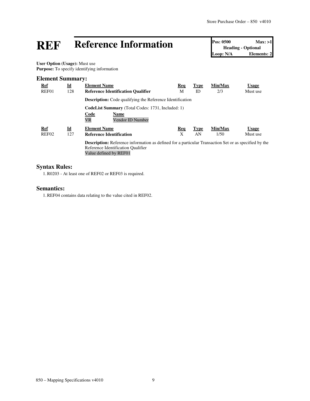# **REF Reference Information Pos: 0500 Max: >1**<br> **Loop: N/A Leading** • Optional<br> **Loop: N/A Elements: 2**

**Heading - Optional Elements: 2** 

**User Option (Usage):** Must use **Purpose:** To specify identifying information

## **Element Summary:**

| <b>Ref</b><br>REF01 | $\underline{\mathbf{Id}}$<br>128 | <b>Element Name</b><br><b>Reference Identification Qualifier</b>                                                                                                             | <b>Req</b><br>М | Type<br>ID  | Min/Max<br>2/3 | <b>Usage</b><br>Must use |  |  |
|---------------------|----------------------------------|------------------------------------------------------------------------------------------------------------------------------------------------------------------------------|-----------------|-------------|----------------|--------------------------|--|--|
|                     |                                  | <b>Description:</b> Code qualifying the Reference Identification                                                                                                             |                 |             |                |                          |  |  |
|                     |                                  | <b>CodeList Summary</b> (Total Codes: 1731, Included: 1)                                                                                                                     |                 |             |                |                          |  |  |
|                     |                                  | Code<br><b>Name</b><br><b>VR</b><br>Vendor ID Number                                                                                                                         |                 |             |                |                          |  |  |
| <b>Ref</b>          | $\underline{\mathbf{Id}}$        | <b>Element Name</b>                                                                                                                                                          | Req             | <b>Type</b> | Min/Max        | <b>Usage</b>             |  |  |
| REF <sub>02</sub>   | 127                              | <b>Reference Identification</b>                                                                                                                                              | X               | AN          | 1/50           | Must use                 |  |  |
|                     |                                  | <b>Description:</b> Reference information as defined for a particular Transaction Set or as specified by the<br>Reference Identification Qualifier<br>Value defined by REF01 |                 |             |                |                          |  |  |

# **Syntax Rules:**

1.R0203 - At least one of REF02 or REF03 is required.

### **Semantics:**

1.REF04 contains data relating to the value cited in REF02.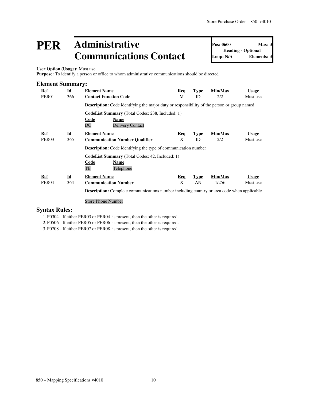# **PER Administrative Communications Contact**

**Pos: 0600 Max: 3 Heading - Optional Loop: N/A Elements: 3**

**User Option (Usage):** Must use

**Purpose:** To identify a person or office to whom administrative communications should be directed

|  | <b>Element Summary:</b> |
|--|-------------------------|
|--|-------------------------|

| Ref<br>PER <sub>01</sub> | $\underline{\mathbf{Id}}$<br>366 | <b>Element Name</b><br><b>Contact Function Code</b>                                                      | Req<br>М   | <b>Type</b><br>ID | Min/Max<br>2/2 | <b>Usage</b><br>Must use |
|--------------------------|----------------------------------|----------------------------------------------------------------------------------------------------------|------------|-------------------|----------------|--------------------------|
|                          |                                  | <b>Description:</b> Code identifying the major duty or responsibility of the person or group named       |            |                   |                |                          |
|                          |                                  | <b>CodeList Summary</b> (Total Codes: 238, Included: 1)<br>Code<br>Name<br>DC<br><b>Delivery Contact</b> |            |                   |                |                          |
| Ref                      | $\underline{\mathbf{Id}}$        | <b>Element Name</b>                                                                                      | Req        | <b>Type</b>       | Min/Max        | <b>Usage</b>             |
| PER <sub>03</sub>        | 365                              | <b>Communication Number Qualifier</b>                                                                    | X          | ID                | 2/2            | Must use                 |
|                          |                                  | <b>Description:</b> Code identifying the type of communication number                                    |            |                   |                |                          |
|                          |                                  | <b>CodeList Summary</b> (Total Codes: 42, Included: 1)                                                   |            |                   |                |                          |
|                          |                                  | Code<br>Name<br>TE<br>Telephone                                                                          |            |                   |                |                          |
| Ref                      | $\underline{\mathbf{Id}}$        | <b>Element Name</b>                                                                                      | <b>Req</b> | <b>Type</b>       | Min/Max        | <b>Usage</b>             |
| PER <sub>04</sub>        | 364                              | <b>Communication Number</b>                                                                              | X          | AN                | 1/256          | Must use                 |
|                          |                                  | <b>Description:</b> Complete communications number including country or area code when applicable        |            |                   |                |                          |

Store Phone Number

## **Syntax Rules:**

1. P0304 - If either PER03 or PER04 is present, then the other is required.

2. P0506 - If either PER05 or PER06 is present, then the other is required.

3. P0708 - If either PER07 or PER08 is present, then the other is required.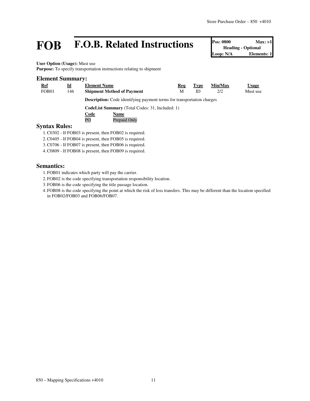# **FOB F.O.B. Related Instructions Pos: 0800 Max: >1**<br> **Formal**<br> **FROB F.O.B. Related Instructions Pos: 0800 Max: >1**<br> **Elements: 1**

**Heading - Optional** Loop: N/A

**User Option (Usage):** Must use

Purpose: To specify transportation instructions relating to shipment

### **Element Summary:**

| <b>Usage</b> |
|--------------|
| Must use     |
|              |
|              |
|              |
|              |
|              |
|              |

- 1.C0302 If FOB03 is present, then FOB02 is required.
- 2.C0405 If FOB04 is present, then FOB05 is required.
- 3.C0706 If FOB07 is present, then FOB06 is required.
- 4.C0809 If FOB08 is present, then FOB09 is required.

## **Semantics:**

- 1. FOB01 indicates which party will pay the carrier.
- 2. FOB02 is the code specifying transportation responsibility location.
- 3. FOB06 is the code specifying the title passage location.
- 4. FOB08 is the code specifying the point at which the risk of loss transfers. This may be different than the location specified in FOB02/FOB03 and FOB06/FOB07.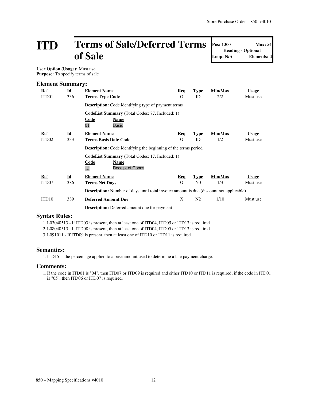# **ITD Terms of Sale/Deferred Terms of Sale**

**Pos: 1300 Max: >1 Loop: N/A Elements: 4**

**Heading - Optional**

**User Option (Usage):** Must use **Purpose:** To specify terms of sale

| <b>Element Summary:</b> |                           |                                                                                                |            |                |         |              |  |  |
|-------------------------|---------------------------|------------------------------------------------------------------------------------------------|------------|----------------|---------|--------------|--|--|
| <u>Ref</u>              | $\underline{\mathbf{Id}}$ | <b>Element Name</b>                                                                            | Req        | <b>Type</b>    | Min/Max | <b>Usage</b> |  |  |
| ITD01                   | 336                       | <b>Terms Type Code</b>                                                                         | $\Omega$   | ID             | 2/2     | Must use     |  |  |
|                         |                           | <b>Description:</b> Code identifying type of payment terms                                     |            |                |         |              |  |  |
|                         |                           | CodeList Summary (Total Codes: 77, Included: 1)                                                |            |                |         |              |  |  |
|                         |                           | Code<br>Name<br>01<br><b>Basic</b>                                                             |            |                |         |              |  |  |
| Ref                     | $\underline{\mathbf{Id}}$ | <b>Element Name</b>                                                                            | <b>Req</b> | <b>Type</b>    | Min/Max | <b>Usage</b> |  |  |
| ITD <sub>02</sub>       | 333                       | <b>Terms Basis Date Code</b>                                                                   | $\Omega$   | ID             | 1/2     | Must use     |  |  |
|                         |                           | <b>Description:</b> Code identifying the beginning of the terms period                         |            |                |         |              |  |  |
|                         |                           | <b>CodeList Summary</b> (Total Codes: 17, Included: 1)                                         |            |                |         |              |  |  |
|                         |                           | <u>Code</u><br><b>Name</b>                                                                     |            |                |         |              |  |  |
|                         |                           | 15<br><b>Receipt of Goods</b>                                                                  |            |                |         |              |  |  |
| Ref                     | $\underline{\mathbf{Id}}$ | <b>Element Name</b>                                                                            | <u>Req</u> | <b>Type</b>    | Min/Max | <b>Usage</b> |  |  |
| ITD07                   | 386                       | <b>Terms Net Days</b>                                                                          | $\Omega$   | N <sub>0</sub> | 1/3     | Must use     |  |  |
|                         |                           | <b>Description:</b> Number of days until total invoice amount is due (discount not applicable) |            |                |         |              |  |  |
| ITD <sub>10</sub>       | 389                       | <b>Deferred Amount Due</b>                                                                     | X          | N <sub>2</sub> | 1/10    | Must use     |  |  |
|                         |                           | <b>Description:</b> Deferred amount due for payment                                            |            |                |         |              |  |  |

### **Syntax Rules:**

1.L03040513 - If ITD03 is present, then at least one of ITD04, ITD05 or ITD13 is required.

2.L08040513 - If ITD08 is present, then at least one of ITD04, ITD05 or ITD13 is required.

3.L091011 - If ITD09 is present, then at least one of ITD10 or ITD11 is required.

#### **Semantics:**

1.ITD15 is the percentage applied to a base amount used to determine a late payment charge.

#### **Comments:**

1.If the code in ITD01 is "04", then ITD07 or ITD09 is required and either ITD10 or ITD11 is required; if the code in ITD01 is "05", then ITD06 or ITD07 is required.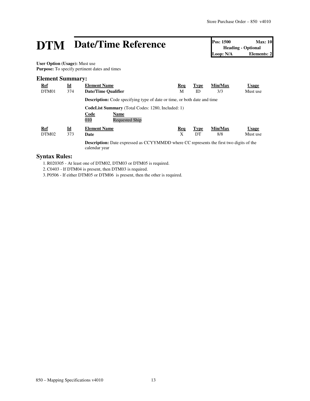# **DTM** Date/Time Reference **Pos:** 1500 Max: 10<br>
Loop: N/A Elements: 2

**Heading - Optional Elements: 2** 

**User Option (Usage):** Must use **Purpose:** To specify pertinent dates and times

## **Element Summary:**

| <b>Ref</b><br>DTM01 | $\underline{\mathbf{Id}}$<br>374 | <b>Element Name</b><br>Date/Time Qualifier                                                               | Req<br>М | <b>Type</b><br>ID | Min/Max<br>3/3 | <b>Usage</b><br>Must use |  |  |
|---------------------|----------------------------------|----------------------------------------------------------------------------------------------------------|----------|-------------------|----------------|--------------------------|--|--|
|                     |                                  | <b>Description:</b> Code specifying type of date or time, or both date and time                          |          |                   |                |                          |  |  |
|                     |                                  | <b>CodeList Summary</b> (Total Codes: 1280, Included: 1)<br>Code<br><b>Name</b><br>010<br>Requested Ship |          |                   |                |                          |  |  |
| Ref<br>DTM02        | Id<br>373                        | <b>Element Name</b><br>Date                                                                              | Req<br>X | <b>Type</b><br>DТ | Min/Max<br>8/8 | <b>Usage</b><br>Must use |  |  |
|                     |                                  | December on Deta expressed as CCVVMMDD where CC concerning the first two digits of the                   |          |                   |                |                          |  |  |

**Description:** Date expressed as CCYYMMDD where CC represents the first two digits of the calendar year

# **Syntax Rules:**

1.R020305 - At least one of DTM02, DTM03 or DTM05 is required.

2.C0403 - If DTM04 is present, then DTM03 is required.

3. P0506 - If either DTM05 or DTM06 is present, then the other is required.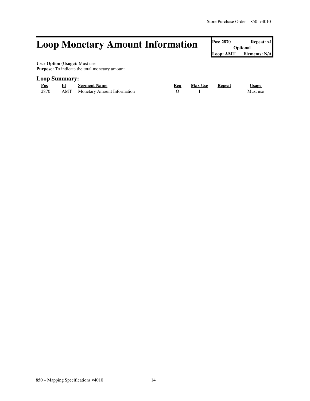# **Loop Monetary Amount Information Pos: 2870 Repeat: >1**

**Optional Loop: AMT Elements: N/A**

**User Option (Usage):** Must use **Purpose:** To indicate the total monetary amount

## **Loop Summary:**

| Pos  | <b>Segment Name</b>                    | Rea | <b>Max Use</b> | Repeat | Usage    |
|------|----------------------------------------|-----|----------------|--------|----------|
| 2870 | <b>AMT</b> Monetary Amount Information |     |                |        | Must use |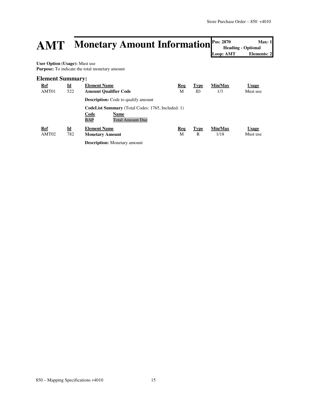# **AMT Monetary Amount Information Pos: 2870** Max: 1<br> **AMT** Monetary Amount Information **Pos: 2870 Max: 1**<br>
Loop: AMT

**Heading - Optional** Loop: AMT

**User Option (Usage):** Must use **Purpose:** To indicate the total monetary amount

### **Element Summary:**

| <b>Ref</b><br>AMT01 | $\underline{\mathbf{Id}}$<br>522 | <b>Element Name</b><br><b>Amount Qualifier Code</b>                                                               | <b>Req</b><br>М | <b>Type</b><br>ID | Min/Max<br>1/3  | <b>Usage</b><br>Must use |
|---------------------|----------------------------------|-------------------------------------------------------------------------------------------------------------------|-----------------|-------------------|-----------------|--------------------------|
|                     |                                  | <b>Description:</b> Code to qualify amount                                                                        |                 |                   |                 |                          |
|                     |                                  | <b>CodeList Summary</b> (Total Codes: 1765, Included: 1)<br>Code<br>Name<br><b>BAP</b><br><b>Total Amount Due</b> |                 |                   |                 |                          |
| <b>Ref</b><br>AMT02 | $\underline{\mathbf{Id}}$<br>782 | <b>Element Name</b><br><b>Monetary Amount</b>                                                                     | Req<br>М        | <b>Type</b><br>R  | Min/Max<br>1/18 | <b>Usage</b><br>Must use |
|                     |                                  | <b>Description:</b> Monetary amount                                                                               |                 |                   |                 |                          |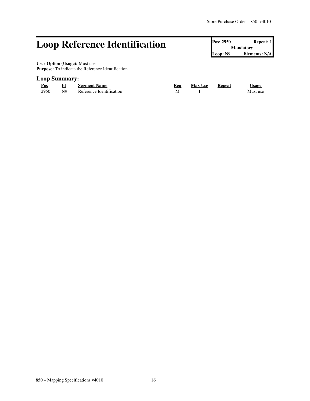# **Loop Reference Identification Pos: 2950 Repeat: 1 Repeat: 1**

**Mandatory Loop: N9 Elements: N/A**

**User Option (Usage):** Must use **Purpose:** To indicate the Reference Identification

## **Loop Summary:**

| Pos  | Id | <b>Segment Name</b>      | Rea | <b>Max Use</b> | Repeat | ∪sage    |
|------|----|--------------------------|-----|----------------|--------|----------|
| 2950 | N9 | Reference Identification |     |                |        | Must use |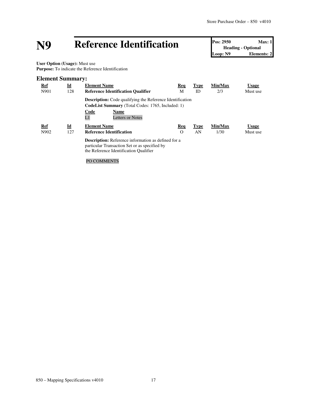# **N9 Reference Identification Pos: 2950 Max: 1**<br> **Loop: N9 Reference Identification Pos: 2950 Max: 1**<br> **Loop: N9 Elements: 2**

**Heading - Optional Elements: 2** 

 **User Option (Usage):** Must use **Purpose:** To indicate the Reference Identification

# **Element Summary:**

| <b>Ref</b>  | $\underline{\mathbf{Id}}$ | <b>Element Name</b>                                                                                                                                                                  | Req             | <b>Type</b>       | Min/Max         | <u>Usage</u>             |
|-------------|---------------------------|--------------------------------------------------------------------------------------------------------------------------------------------------------------------------------------|-----------------|-------------------|-----------------|--------------------------|
| N901        | 128                       | <b>Reference Identification Qualifier</b>                                                                                                                                            | М               | ID                | 2/3             | Must use                 |
|             |                           | <b>Description:</b> Code qualifying the Reference Identification<br><b>CodeList Summary</b> (Total Codes: 1765, Included: 1)<br><b>Code</b><br>Name<br>L1<br><b>Letters or Notes</b> |                 |                   |                 |                          |
| Ref<br>N902 | <u>Id</u><br>127          | <b>Element Name</b><br><b>Reference Identification</b>                                                                                                                               | Req<br>$\Omega$ | <b>Type</b><br>AN | Min/Max<br>1/30 | <b>Usage</b><br>Must use |
|             |                           | <b>Description:</b> Reference information as defined for a<br>particular Transaction Set or as specified by<br>the Reference Identification Qualifier                                |                 |                   |                 |                          |

## PO COMMENTS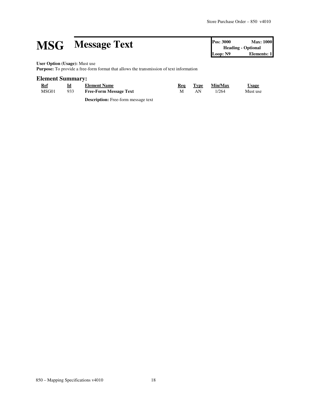# **MSG Message Text Pos: 3000 Max: 1000**<br> **Pos: 3000 Max: 1000**<br> **Pos: 3000 Max: 1000**<br> **Pos: 3000 Max: 1000**<br> **Elements: 1**

**Heading - Optional Elements: 1** 

**User Option (Usage):** Must use

**Purpose:** To provide a free-form format that allows the transmission of text information

## **Element Summary:**

| <b>Ref</b> | <u>Id</u> | <b>Element Name</b>           | Req | Type | Min/Max | <u>Usage</u> |
|------------|-----------|-------------------------------|-----|------|---------|--------------|
| MSG01      | 933       | <b>Free-Form Message Text</b> |     | AN   | 1/264   | Must use     |

**Description:** Free-form message text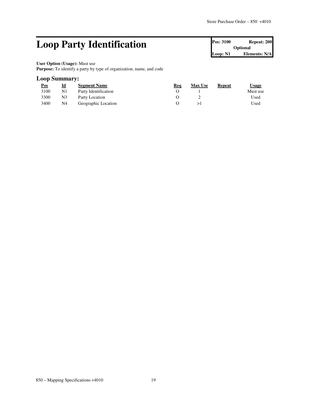# **Loop Party Identification Pos:** 3100 **Repeat: 200 Repeat: 200**

**Optional Loop: N1 Elements: N/A**

#### **User Option (Usage):** Must use

**Purpose:** To identify a party by type of organization, name, and code

## **Loop Summary:**

| <u>Pos</u> | <u>id</u>      | <b>Segment Name</b>  | Req | <b>Max Use</b> | Repeat | Usage    |
|------------|----------------|----------------------|-----|----------------|--------|----------|
| 3100       | N1             | Party Identification |     |                |        | Must use |
| 3300       | N <sub>3</sub> | Party Location       |     |                |        | Used     |
| 3400       | N4             | Geographic Location  |     |                |        | Used     |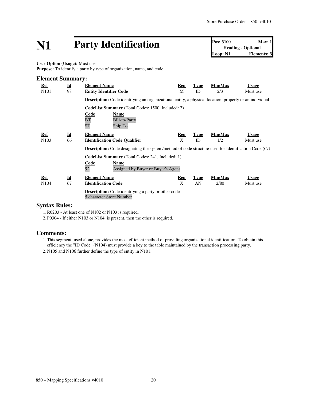# **N1 Party Identification Pos:** 3100 **Max:** 1<br> **Pos:** 3100 **Max:** 1<br> **Loop:** N1 **Elements:** 3

**Heading - Optional Elements: 3** 

**User Option (Usage):** Must use

**Purpose:** To identify a party by type of organization, name, and code

| <b>Element Summary:</b> |                           |                                                                                                               |            |             |         |              |  |  |
|-------------------------|---------------------------|---------------------------------------------------------------------------------------------------------------|------------|-------------|---------|--------------|--|--|
| Ref                     | $\underline{\mathbf{Id}}$ | <b>Element Name</b>                                                                                           | Req        | <b>Type</b> | Min/Max | <b>Usage</b> |  |  |
| N <sub>10</sub> 1       | 98                        | <b>Entity Identifier Code</b>                                                                                 | M          | ID          | 2/3     | Must use     |  |  |
|                         |                           | <b>Description:</b> Code identifying an organizational entity, a physical location, property or an individual |            |             |         |              |  |  |
|                         |                           | <b>CodeList Summary</b> (Total Codes: 1500, Included: 2)                                                      |            |             |         |              |  |  |
|                         |                           | Code<br><b>Name</b>                                                                                           |            |             |         |              |  |  |
|                         |                           | BT<br><b>Bill-to-Party</b>                                                                                    |            |             |         |              |  |  |
|                         |                           | <b>ST</b><br>Ship To                                                                                          |            |             |         |              |  |  |
| Ref                     | $\underline{\mathbf{Id}}$ | <b>Element Name</b>                                                                                           | <b>Req</b> | <b>Type</b> | Min/Max | <b>Usage</b> |  |  |
| N <sub>10</sub> 3       | 66                        | <b>Identification Code Qualifier</b>                                                                          | X          | ID.         | 1/2     | Must use     |  |  |
|                         |                           | <b>Description:</b> Code designating the system/method of code structure used for Identification Code (67)    |            |             |         |              |  |  |
|                         |                           | <b>CodeList Summary</b> (Total Codes: 241, Included: 1)                                                       |            |             |         |              |  |  |
|                         |                           | Code<br>Name                                                                                                  |            |             |         |              |  |  |
|                         |                           | 92<br>Assigned by Buyer or Buyer's Agent                                                                      |            |             |         |              |  |  |
| $Ref$                   | $\underline{\mathbf{Id}}$ | <b>Element Name</b>                                                                                           | <u>Req</u> | <b>Type</b> | Min/Max | <b>Usage</b> |  |  |
| N <sub>104</sub>        | 67                        | <b>Identification Code</b>                                                                                    | X          | AN          | 2/80    | Must use     |  |  |
|                         |                           | <b>Description:</b> Code identifying a party or other code<br>5 character Store Number                        |            |             |         |              |  |  |

### **Syntax Rules:**

1.R0203 - At least one of N102 or N103 is required.

2. P0304 - If either N103 or N104 is present, then the other is required.

## **Comments:**

1.This segment, used alone, provides the most efficient method of providing organizational identification. To obtain this efficiency the "ID Code" (N104) must provide a key to the table maintained by the transaction processing party.

2. N105 and N106 further define the type of entity in N101.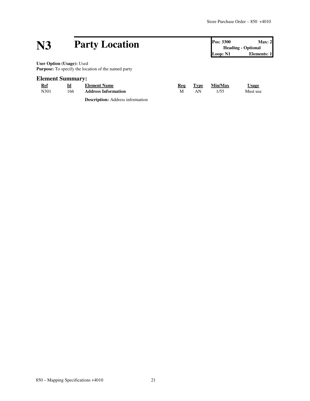# **N3 Party Location Pos:** 3300 **Max:** 2<br> **Pos:** 3300 **Max:** 2<br> **Loop:** N1 **Elements:** 1

**Heading - Optional Elements: 1** 

**User Option (Usage):** Used Purpose: To specify the location of the named party

# **Element Summary:**

| Ref  | Id  | <b>Element Name</b>        | Rea | Type | <b>Min/Max</b> | <u>Usage</u> |
|------|-----|----------------------------|-----|------|----------------|--------------|
| N301 | 166 | <b>Address Information</b> | M   | AN   | 1/55           | Must use     |
|      |     | .<br>$\sim$                |     |      |                |              |

**Description:** Address information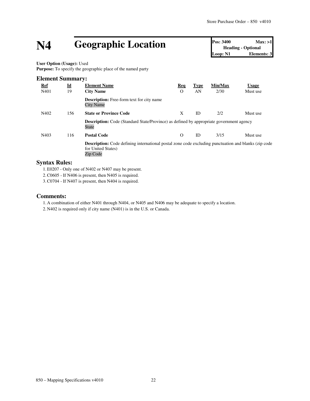# **N4 Geographic Location Pos:** 3400 **Max:** >1<br> **Pos:** 3400 **Max:** >1<br> **Loop:** N1 **Elements:** 3

**Heading - Optional Elements: 3** 

**User Option (Usage):** Used Purpose: To specify the geographic place of the named party

| <b>Element Summary:</b> |                           |                                                                                                                                               |          |             |         |              |  |  |
|-------------------------|---------------------------|-----------------------------------------------------------------------------------------------------------------------------------------------|----------|-------------|---------|--------------|--|--|
| <b>Ref</b>              | $\underline{\mathbf{Id}}$ | <b>Element Name</b>                                                                                                                           | Req      | <b>Type</b> | Min/Max | <b>Usage</b> |  |  |
| N401                    | 19                        | <b>City Name</b>                                                                                                                              | $\Omega$ | AN          | 2/30    | Must use     |  |  |
|                         |                           | <b>Description:</b> Free-form text for city name<br><b>City Name</b>                                                                          |          |             |         |              |  |  |
| N402                    | 156                       | <b>State or Province Code</b>                                                                                                                 | X        | ID          | 2/2     | Must use     |  |  |
|                         |                           | <b>Description:</b> Code (Standard State/Province) as defined by appropriate government agency<br>State                                       |          |             |         |              |  |  |
| N403                    | 116                       | <b>Postal Code</b>                                                                                                                            | $\Omega$ | ID          | 3/15    | Must use     |  |  |
|                         |                           | <b>Description:</b> Code defining international postal zone code excluding punctuation and blanks (zip code<br>for United States)<br>Zip Code |          |             |         |              |  |  |

## **Syntax Rules:**

1.E0207 - Only one of N402 or N407 may be present.

2.C0605 - If N406 is present, then N405 is required.

3.C0704 - If N407 is present, then N404 is required.

## **Comments:**

1. A combination of either N401 through N404, or N405 and N406 may be adequate to specify a location.

2. N402 is required only if city name (N401) is in the U.S. or Canada.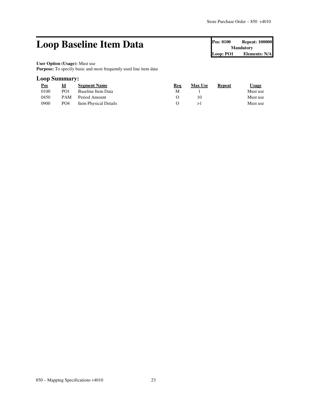# **Loop Baseline Item Data** Pos: 0100 Repeat: 100000

**Mandatory Loop: PO1 Elements: N/A**

#### **User Option (Usage):** Must use

Purpose: To specify basic and most frequently used line item data

## **Loop Summary:**

| <u>Pos</u> | Id              | <b>Segment Name</b>   | Req | <b>Max Use</b> | Repeat | Usage    |
|------------|-----------------|-----------------------|-----|----------------|--------|----------|
| 0100       | PO <sub>1</sub> | Baseline Item Data    | м   |                |        | Must use |
| 0450       |                 | PAM Period Amount     |     | 10             |        | Must use |
| 0900       | PO <sub>4</sub> | Item Physical Details |     |                |        | Must use |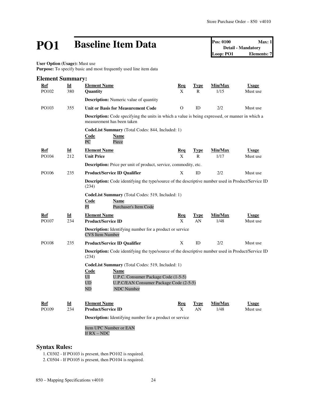# **PO1 Baseline Item Data Pos:** 0100 **Max:** 1<br> **Pos:** 0100 **Max:** 1<br> **Dop:** PO1 **Elements:** 7

**Detail - Mandatory Elements: 7** 

**User Option (Usage):** Must use

Purpose: To specify basic and most frequently used line item data

| <b>Element Summary:</b> |     |                                                                                                                                                                                     |            |              |         |              |  |  |  |
|-------------------------|-----|-------------------------------------------------------------------------------------------------------------------------------------------------------------------------------------|------------|--------------|---------|--------------|--|--|--|
| Ref                     | Id  | <b>Element Name</b>                                                                                                                                                                 | Req        | Type         | Min/Max | <b>Usage</b> |  |  |  |
| PO102                   | 380 | Quantity                                                                                                                                                                            | X          | R            | 1/15    | Must use     |  |  |  |
|                         |     | <b>Description:</b> Numeric value of quantity                                                                                                                                       |            |              |         |              |  |  |  |
| PO103                   | 355 | <b>Unit or Basis for Measurement Code</b>                                                                                                                                           | $\Omega$   | ID           | 2/2     | Must use     |  |  |  |
|                         |     | <b>Description:</b> Code specifying the units in which a value is being expressed, or manner in which a<br>measurement has been taken                                               |            |              |         |              |  |  |  |
|                         |     | CodeList Summary (Total Codes: 844, Included: 1)<br><u>Code</u><br><b>Name</b><br>PC<br>Piece                                                                                       |            |              |         |              |  |  |  |
| Ref                     | Id  | <b>Element Name</b>                                                                                                                                                                 | Req        | Type         | Min/Max | <b>Usage</b> |  |  |  |
| PO104                   | 212 | <b>Unit Price</b>                                                                                                                                                                   | X          | $\mathsf{R}$ | 1/17    | Must use     |  |  |  |
|                         |     | Description: Price per unit of product, service, commodity, etc.                                                                                                                    |            |              |         |              |  |  |  |
| PO106                   | 235 | <b>Product/Service ID Qualifier</b>                                                                                                                                                 | X          | ID           | 2/2     | Must use     |  |  |  |
|                         |     | Description: Code identifying the type/source of the descriptive number used in Product/Service ID<br>(234)                                                                         |            |              |         |              |  |  |  |
|                         |     | CodeList Summary (Total Codes: 519, Included: 1)<br>Code<br><b>Name</b><br>PI<br>Purchaser's Item Code                                                                              |            |              |         |              |  |  |  |
| Ref                     | Id  | <b>Element Name</b>                                                                                                                                                                 | <b>Req</b> | <u>Type</u>  | Min/Max | <b>Usage</b> |  |  |  |
| PO107                   | 234 | <b>Product/Service ID</b>                                                                                                                                                           | X          | AN           | 1/48    | Must use     |  |  |  |
|                         |     | <b>Description:</b> Identifying number for a product or service<br><b>CVS</b> Item Number                                                                                           |            |              |         |              |  |  |  |
| PO108                   | 235 | <b>Product/Service ID Qualifier</b>                                                                                                                                                 | X          | ID           | 2/2     | Must use     |  |  |  |
|                         |     | <b>Description:</b> Code identifying the type/source of the descriptive number used in Product/Service ID<br>(234)                                                                  |            |              |         |              |  |  |  |
|                         |     | CodeList Summary (Total Codes: 519, Included: 1)<br>Code<br>Name<br>UI<br>U.P.C. Consumer Package Code (1-5-5)<br>UD<br>U.P.C/EAN Consumer Package Code (2-5-5)<br>ND<br>NDC Number |            |              |         |              |  |  |  |
| Ref                     | Id  | <b>Element Name</b>                                                                                                                                                                 | <u>Req</u> | Type         | Min/Max | <b>Usage</b> |  |  |  |
| PO109                   | 234 | <b>Product/Service ID</b>                                                                                                                                                           | X          | AN           | 1/48    | Must use     |  |  |  |
|                         |     | <b>Description:</b> Identifying number for a product or service                                                                                                                     |            |              |         |              |  |  |  |
|                         |     | Item UPC Number or EAN<br>If RX – NDC                                                                                                                                               |            |              |         |              |  |  |  |

# **Syntax Rules:**

1.C0302 - If PO103 is present, then PO102 is required.

2.C0504 - If PO105 is present, then PO104 is required.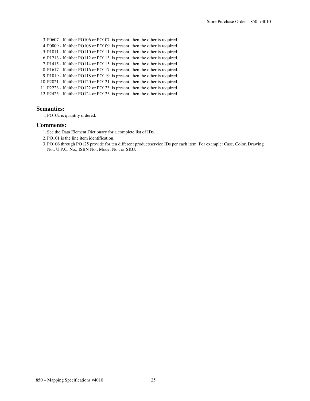3. P0607 - If either PO106 or PO107 is present, then the other is required. 4. P0809 - If either PO108 or PO109 is present, then the other is required. 5. P1011 - If either PO110 or PO111 is present, then the other is required. 6. P1213 - If either PO112 or PO113 is present, then the other is required. 7. P1415 - If either PO114 or PO115 is present, then the other is required. 8. P1617 - If either PO116 or PO117 is present, then the other is required. 9. P1819 - If either PO118 or PO119 is present, then the other is required. 10. P2021 - If either PO120 or PO121 is present, then the other is required. 11. P2223 - If either PO122 or PO123 is present, then the other is required. 12. P2425 - If either PO124 or PO125 is present, then the other is required.

### **Semantics:**

1. PO102 is quantity ordered.

### **Comments:**

- 1. See the Data Element Dictionary for a complete list of IDs.
- 2. PO101 is the line item identification.
- 3. PO106 through PO125 provide for ten different product/service IDs per each item. For example: Case, Color, Drawing No., U.P.C. No., ISBN No., Model No., or SKU.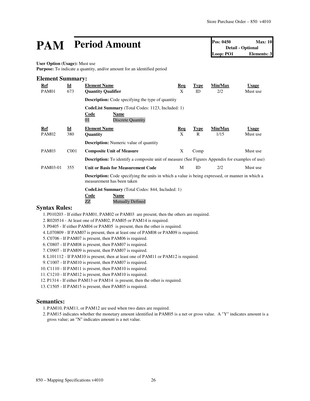# **PAM Period Amount Pos:** 0450 **Max:** 10<br> **Pos:** 0450 **Max:** 10<br> **Detail** - Optional<br> **Loop:** PO1 **Elements:** 3

**Detail - Optional Elements: 3** 

#### **User Option (Usage):** Must use

Purpose: To indicate a quantity, and/or amount for an identified period

| <b>Element Summary:</b> |                           |                                                                                                                                       |            |             |         |              |  |  |
|-------------------------|---------------------------|---------------------------------------------------------------------------------------------------------------------------------------|------------|-------------|---------|--------------|--|--|
| <u>Ref</u>              | $\underline{\mathbf{Id}}$ | <b>Element Name</b>                                                                                                                   | <b>Req</b> | <b>Type</b> | Min/Max | <b>Usage</b> |  |  |
| PAM01                   | 673                       | <b>Quantity Qualifier</b>                                                                                                             | X          | ID          | 2/2     | Must use     |  |  |
|                         |                           | <b>Description:</b> Code specifying the type of quantity                                                                              |            |             |         |              |  |  |
|                         |                           | <b>CodeList Summary</b> (Total Codes: 1123, Included: 1)                                                                              |            |             |         |              |  |  |
|                         |                           | Code<br>Name<br>01<br><b>Discrete Quantity</b>                                                                                        |            |             |         |              |  |  |
| Ref                     | $\underline{\mathbf{Id}}$ | <b>Element Name</b>                                                                                                                   | Req        | <b>Type</b> | Min/Max | <b>Usage</b> |  |  |
| PAM <sub>02</sub>       | 380                       | Quantity                                                                                                                              | X          | R           | 1/15    | Must use     |  |  |
|                         |                           | <b>Description:</b> Numeric value of quantity                                                                                         |            |             |         |              |  |  |
| PAM03                   | C <sub>001</sub>          | <b>Composite Unit of Measure</b>                                                                                                      | X          | Comp        |         | Must use     |  |  |
|                         |                           | <b>Description:</b> To identify a composite unit of measure (See Figures Appendix for examples of use)                                |            |             |         |              |  |  |
| PAM03-01                | 355                       | <b>Unit or Basis for Measurement Code</b>                                                                                             | M          | <b>ID</b>   | 2/2     | Must use     |  |  |
|                         |                           | <b>Description:</b> Code specifying the units in which a value is being expressed, or manner in which a<br>measurement has been taken |            |             |         |              |  |  |
|                         |                           | <b>CodeList Summary</b> (Total Codes: 844, Included: 1)                                                                               |            |             |         |              |  |  |
|                         |                           | Code<br>Name<br><b>Mutually Defined</b><br>ZZ                                                                                         |            |             |         |              |  |  |
| <b>Syntax Rules:</b>    |                           |                                                                                                                                       |            |             |         |              |  |  |

1. P010203 - If either PAM01, PAM02 or PAM03 are present, then the others are required.

- 2.R020514 At least one of PAM02, PAM05 or PAM14 is required.
- 3. P0405 If either PAM04 or PAM05 is present, then the other is required.
- 4.L070809 If PAM07 is present, then at least one of PAM08 or PAM09 is required.
- 5.C0706 If PAM07 is present, then PAM06 is required.
- 6.C0807 If PAM08 is present, then PAM07 is required.
- 7.C0907 If PAM09 is present, then PAM07 is required.
- 8.L101112 If PAM10 is present, then at least one of PAM11 or PAM12 is required.
- 9.C1007 If PAM10 is present, then PAM07 is required.
- 10.C1110 If PAM11 is present, then PAM10 is required.
- 11.C1210 If PAM12 is present, then PAM10 is required.
- 12. P1314 If either PAM13 or PAM14 is present, then the other is required.

13.C1505 - If PAM15 is present, then PAM05 is required.

#### **Semantics:**

1. PAM10, PAM11, or PAM12 are used when two dates are required.

2. PAM15 indicates whether the monetary amount identified in PAM05 is a net or gross value. A "Y" indicates amount is a gross value; an "N" indicates amount is a net value.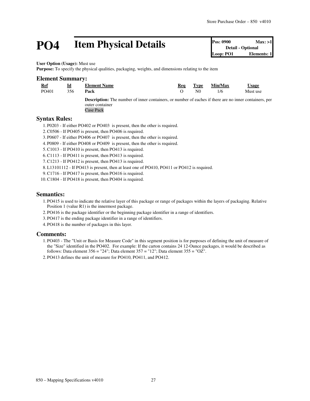# **PO4 Item Physical Details Pos: 0900 Max: >1**<br> **Pos: 0900 Max: >1**<br> **Pos: 0900 Max: >1**<br> **Pos: 0900 Max: >1**<br> **Detail**- Optional<br> **Elements: 1**

**Detail - Optional Loop: PO1** 

**User Option (Usage):** Must use

**Purpose:** To specify the physical qualities, packaging, weights, and dimensions relating to the item

# **Element Summary:**

| Ref   |     | <b>Element Name</b>                                                                                           | Req | Type | Min/Max | <u>Usage</u> |
|-------|-----|---------------------------------------------------------------------------------------------------------------|-----|------|---------|--------------|
| PO401 | 356 | Pack                                                                                                          |     | N0   | 1/6     | Must use     |
|       |     | <b>Description:</b> The number of inner containers, or number of eaches if there are no inner containers, per |     |      |         |              |

outer container Case Pack

### **Syntax Rules:**

1. P0203 - If either PO402 or PO403 is present, then the other is required.

- 2.C0506 If PO405 is present, then PO406 is required.
- 3. P0607 If either PO406 or PO407 is present, then the other is required.
- 4. P0809 If either PO408 or PO409 is present, then the other is required.
- 5.C1013 If PO410 is present, then PO413 is required.
- 6.C1113 If PO411 is present, then PO413 is required.
- 7.C1213 If PO412 is present, then PO413 is required.
- 8.L13101112 If PO413 is present, then at least one of PO410, PO411 or PO412 is required.
- 9.C1716 If PO417 is present, then PO416 is required.
- 10.C1804 If PO418 is present, then PO404 is required.

#### **Semantics:**

- 1. PO415 is used to indicate the relative layer of this package or range of packages within the layers of packaging. Relative Position 1 (value R1) is the innermost package.
- 2. PO416 is the package identifier or the beginning package identifier in a range of identifiers.
- 3. PO417 is the ending package identifier in a range of identifiers.
- 4. PO418 is the number of packages in this layer.

#### **Comments:**

1. PO403 - The "Unit or Basis for Measure Code" in this segment position is for purposes of defining the unit of measure of the "Size" identified in the PO402. For example: If the carton contains 24 12-Ounce packages, it would be described as follows: Data element  $356 = "24"$ ; Data element  $357 = "12"$ ; Data element  $355 = "OZ"$ .

2. PO413 defines the unit of measure for PO410, PO411, and PO412.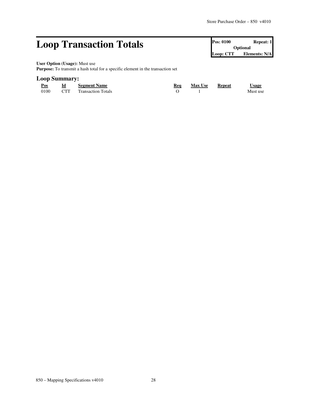# **Loop Transaction Totals Pos: 0100 Repeat: 1 Pos: 0100 Repeat: 1**

**Optional Loop: CTT Elements: N/A**

### **User Option (Usage):** Must use

Purpose: To transmit a hash total for a specific element in the transaction set

## **Loop Summary:**

| Pos<br>____ | Id         | <b>Segment Name</b>       | Rea | <b>Max Use</b> | <b>Repeat</b> | <b>Jsage</b> |
|-------------|------------|---------------------------|-----|----------------|---------------|--------------|
| 0100        | <b>CTT</b> | <b>Transaction Totals</b> |     |                |               | Must use     |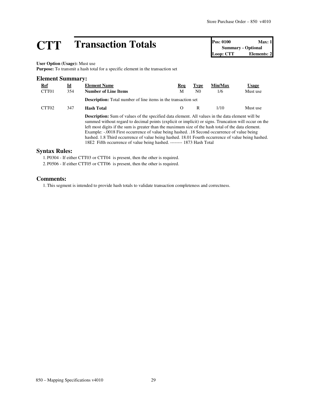# **CTT Transaction Totals Pos: 0100 Max: 1**<br> **CTT CONFINGING Pos: 0100 Max: 1**<br> **Loop: CTT Elements: 2**

**Summary - Optional Loop: CTT** 

#### **User Option (Usage):** Must use

**Purpose:** To transmit a hash total for a specific element in the transaction set

# **Element Summary: Ref Id Element Name Req Type Min/Max Usage** CTT01 354 **Number of Line Items** M N0 1/6 Must use **Description:** Total number of line items in the transaction set

**Description:** Sum of values of the specified data element. All values in the data element will be summed without regard to decimal points (explicit or implicit) or signs. Truncation will occur on the left most digits if the sum is greater than the maximum size of the hash total of the data element. Example: -.0018 First occurrence of value being hashed. .18 Second occurrence of value being hashed. 1.8 Third occurrence of value being hashed. 18.01 Fourth occurrence of value being hashed. 18E2 Fifth occurrence of value being hashed. -------- 1873 Hash Total

CTT02 347 **Hash Total** O R 1/10 Must use

#### **Syntax Rules:**

1. P0304 - If either CTT03 or CTT04 is present, then the other is required. 2. P0506 - If either CTT05 or CTT06 is present, then the other is required.

### **Comments:**

1.This segment is intended to provide hash totals to validate transaction completeness and correctness.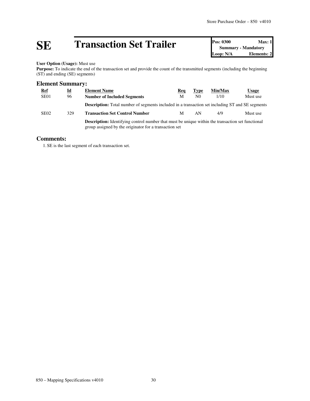# **SE Transaction Set Trailer Pos: 0300 Max: 1**<br> **Dop: N/A Elements: 2**<br> **Dop: N/A Elements: 2**

**Summary - Mandatory Elements: 2** 

#### **User Option (Usage):** Must use

Purpose: To indicate the end of the transaction set and provide the count of the transmitted segments (including the beginning (ST) and ending (SE) segments)

## **Element Summary:**

| <b>Ref</b>       | $\underline{\mathbf{Id}}$ | <b>Element Name</b>                                                                                                                                                | Req | <b>Type</b>    | Min/Max | Usage    |  |  |
|------------------|---------------------------|--------------------------------------------------------------------------------------------------------------------------------------------------------------------|-----|----------------|---------|----------|--|--|
| SE <sub>01</sub> | 96                        | <b>Number of Included Segments</b>                                                                                                                                 | M   | N <sub>0</sub> | 1/10    | Must use |  |  |
|                  |                           | <b>Description:</b> Total number of segments included in a transaction set including ST and SE segments                                                            |     |                |         |          |  |  |
| SE <sub>02</sub> | 329                       | <b>Transaction Set Control Number</b>                                                                                                                              | M   | AN             | 4/9     | Must use |  |  |
|                  |                           | <b>Description:</b> Identifying control number that must be unique within the transaction set functional<br>group assigned by the originator for a transaction set |     |                |         |          |  |  |

### **Comments:**

1. SE is the last segment of each transaction set.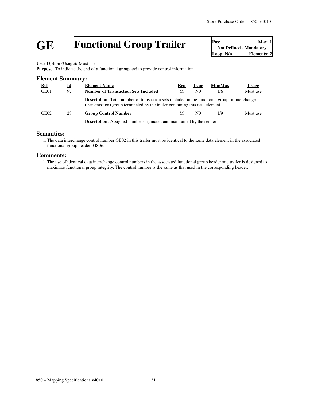# **GE Functional Group Trailer Pos:** Max: 1<br>
Not Defined - Mandatory<br>
Loop: N/A<br> **Elements: 2**

**Not Defined - Mandatory Elements: 2** 

#### **User Option (Usage):** Must use

**Purpose:** To indicate the end of a functional group and to provide control information

| <b>Element Summary:</b> |    |                                                                                                                                                                                     |     |                |         |              |  |  |
|-------------------------|----|-------------------------------------------------------------------------------------------------------------------------------------------------------------------------------------|-----|----------------|---------|--------------|--|--|
| <u>Ref</u>              | Id | <b>Element Name</b>                                                                                                                                                                 | Req | <b>Type</b>    | Min/Max | <b>Usage</b> |  |  |
| GE01                    | 97 | <b>Number of Transaction Sets Included</b>                                                                                                                                          | М   | N <sub>0</sub> | 1/6     | Must use     |  |  |
|                         |    | <b>Description:</b> Total number of transaction sets included in the functional group or interchange<br>(transmission) group terminated by the trailer containing this data element |     |                |         |              |  |  |
| GE02                    | 28 | <b>Group Control Number</b>                                                                                                                                                         | M   | N0.            | 1/9     | Must use     |  |  |
|                         |    | <b>Description:</b> Assigned number originated and maintained by the sender                                                                                                         |     |                |         |              |  |  |

## **Semantics:**

1.The data interchange control number GE02 in this trailer must be identical to the same data element in the associated functional group header, GS06.

#### **Comments:**

1.The use of identical data interchange control numbers in the associated functional group header and trailer is designed to maximize functional group integrity. The control number is the same as that used in the corresponding header.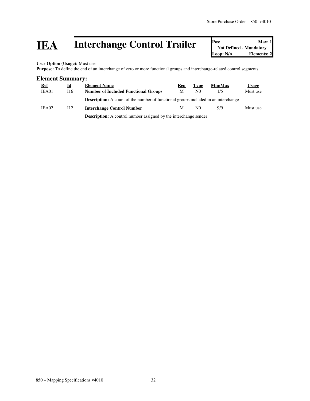# **IEA** Interchange Control Trailer **Posi** Not Defined - Mandatory Loop: N/A Elements: 2

**Not Defined - Mandatory Elements: 2** 

**User Option (Usage):** Must use

Purpose: To define the end of an interchange of zero or more functional groups and interchange-related control segments

#### **Element Summary:**

| <b>Ref</b> | Id  | <b>Element Name</b>                                                                       | Reg | Type           | Min/Max | <u>Usage</u> |
|------------|-----|-------------------------------------------------------------------------------------------|-----|----------------|---------|--------------|
| IEA01      | 116 | <b>Number of Included Functional Groups</b>                                               | M   | N0             | 1/5     | Must use     |
|            |     | <b>Description:</b> A count of the number of functional groups included in an interchange |     |                |         |              |
| IEA02      | 112 | <b>Interchange Control Number</b>                                                         | M   | N <sub>0</sub> | 9/9     | Must use     |
|            |     | Description: $\Lambda$ control number assigned by the interchange sender                  |     |                |         |              |

**Description:** A control number assigned by the interchange sender